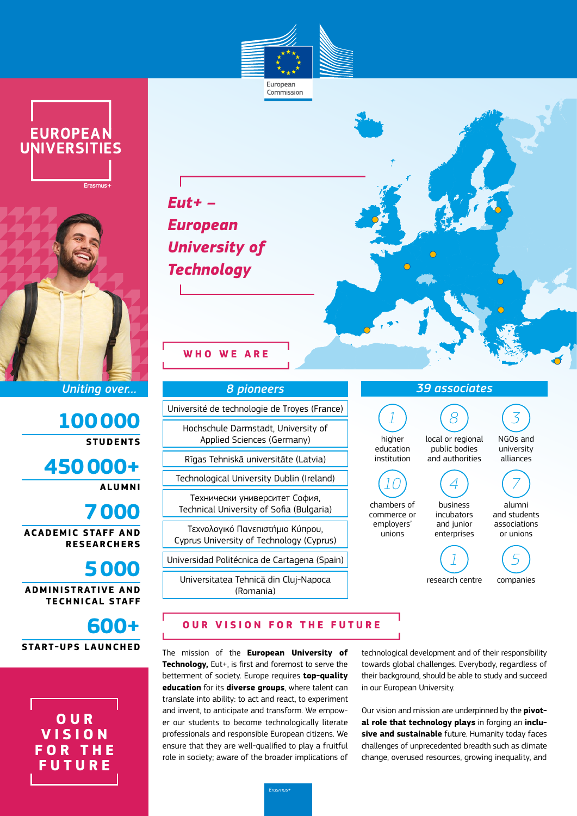

Commission





*Uniting over…*

**100000 STUDENTS**

**450000+**

**ALUMNI**

# **7000**

**ACADEMIC STAFF AND RESEARCHERS**

## **5000**

**ADMINISTRATIVE AND TECHNICAL STAFF**



**O U R V I S I O N F O R T H E FUTURE**



*8 pioneers* Université de technologie de Troyes (France) Hochschule Darmstadt, University of Applied Sciences (Germany) Rīgas Tehniskā universitāte (Latvia) Technological University Dublin (Ireland) Технически университет София,

Τεχνολογικό Πανεπιστήμιο Κύπρου, Cyprus University of Technology (Cyprus)

Technical University of Sofia (Bulgaria)

Universidad Politécnica de Cartagena (Spain)

Universitatea Tehnică din Cluj-Napoca (Romania)



### **OUR VISION FOR THE FUTURE**

The mission of the **European University of Technology,** Eut+, is first and foremost to serve the betterment of society. Europe requires **top-quality education** for its **diverse groups**, where talent can translate into ability: to act and react, to experiment and invent, to anticipate and transform. We empower our students to become technologically literate professionals and responsible European citizens. We ensure that they are well-qualified to play a fruitful role in society; aware of the broader implications of

technological development and of their responsibility towards global challenges. Everybody, regardless of their background, should be able to study and succeed in our European University.

Our vision and mission are underpinned by the **pivotal role that technology plays** in forging an **inclusive and sustainable** future. Humanity today faces challenges of unprecedented breadth such as climate change, overused resources, growing inequality, and